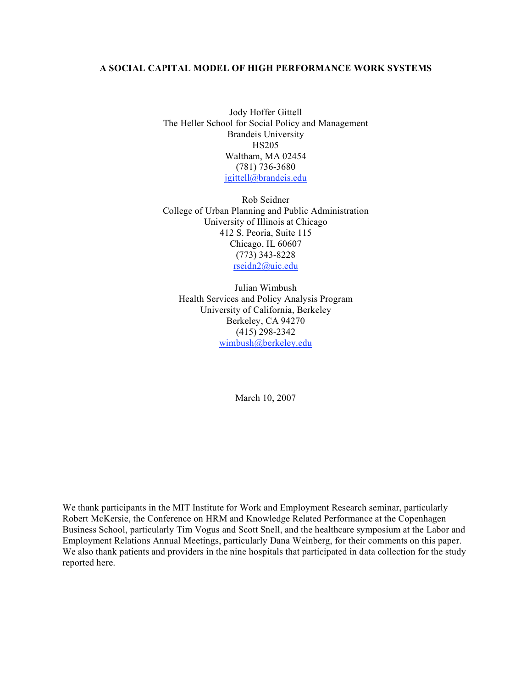## **A SOCIAL CAPITAL MODEL OF HIGH PERFORMANCE WORK SYSTEMS**

Jody Hoffer Gittell The Heller School for Social Policy and Management Brandeis University HS205 Waltham, MA 02454 (781) 736-3680 jgittell@brandeis.edu

Rob Seidner College of Urban Planning and Public Administration University of Illinois at Chicago 412 S. Peoria, Suite 115 Chicago, IL 60607 (773) 343-8228 rseidn2@uic.edu

Julian Wimbush Health Services and Policy Analysis Program University of California, Berkeley Berkeley, CA 94270 (415) 298-2342 wimbush@berkeley.edu

March 10, 2007

We thank participants in the MIT Institute for Work and Employment Research seminar, particularly Robert McKersie, the Conference on HRM and Knowledge Related Performance at the Copenhagen Business School, particularly Tim Vogus and Scott Snell, and the healthcare symposium at the Labor and Employment Relations Annual Meetings, particularly Dana Weinberg, for their comments on this paper. We also thank patients and providers in the nine hospitals that participated in data collection for the study reported here.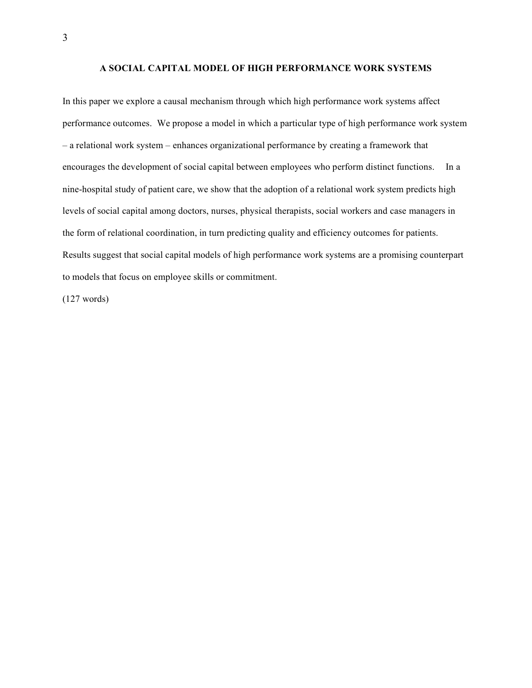# **A SOCIAL CAPITAL MODEL OF HIGH PERFORMANCE WORK SYSTEMS**

In this paper we explore a causal mechanism through which high performance work systems affect performance outcomes. We propose a model in which a particular type of high performance work system – a relational work system – enhances organizational performance by creating a framework that encourages the development of social capital between employees who perform distinct functions. In a nine-hospital study of patient care, we show that the adoption of a relational work system predicts high levels of social capital among doctors, nurses, physical therapists, social workers and case managers in the form of relational coordination, in turn predicting quality and efficiency outcomes for patients. Results suggest that social capital models of high performance work systems are a promising counterpart to models that focus on employee skills or commitment.

(127 words)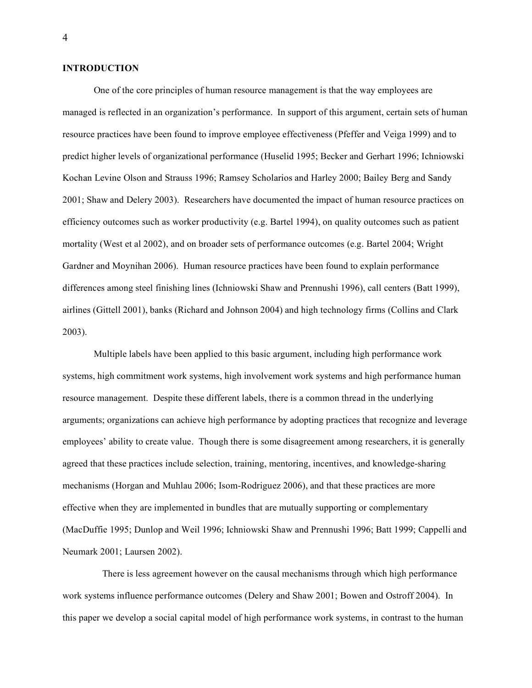## **INTRODUCTION**

One of the core principles of human resource management is that the way employees are managed is reflected in an organization's performance. In support of this argument, certain sets of human resource practices have been found to improve employee effectiveness (Pfeffer and Veiga 1999) and to predict higher levels of organizational performance (Huselid 1995; Becker and Gerhart 1996; Ichniowski Kochan Levine Olson and Strauss 1996; Ramsey Scholarios and Harley 2000; Bailey Berg and Sandy 2001; Shaw and Delery 2003). Researchers have documented the impact of human resource practices on efficiency outcomes such as worker productivity (e.g. Bartel 1994), on quality outcomes such as patient mortality (West et al 2002), and on broader sets of performance outcomes (e.g. Bartel 2004; Wright Gardner and Moynihan 2006). Human resource practices have been found to explain performance differences among steel finishing lines (Ichniowski Shaw and Prennushi 1996), call centers (Batt 1999), airlines (Gittell 2001), banks (Richard and Johnson 2004) and high technology firms (Collins and Clark 2003).

Multiple labels have been applied to this basic argument, including high performance work systems, high commitment work systems, high involvement work systems and high performance human resource management. Despite these different labels, there is a common thread in the underlying arguments; organizations can achieve high performance by adopting practices that recognize and leverage employees' ability to create value. Though there is some disagreement among researchers, it is generally agreed that these practices include selection, training, mentoring, incentives, and knowledge-sharing mechanisms (Horgan and Muhlau 2006; Isom-Rodriguez 2006), and that these practices are more effective when they are implemented in bundles that are mutually supporting or complementary (MacDuffie 1995; Dunlop and Weil 1996; Ichniowski Shaw and Prennushi 1996; Batt 1999; Cappelli and Neumark 2001; Laursen 2002).

There is less agreement however on the causal mechanisms through which high performance work systems influence performance outcomes (Delery and Shaw 2001; Bowen and Ostroff 2004). In this paper we develop a social capital model of high performance work systems, in contrast to the human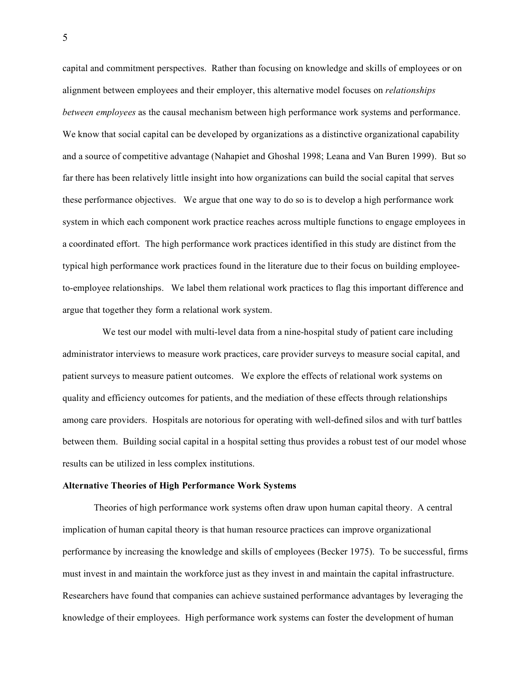capital and commitment perspectives. Rather than focusing on knowledge and skills of employees or on alignment between employees and their employer, this alternative model focuses on *relationships between employees* as the causal mechanism between high performance work systems and performance. We know that social capital can be developed by organizations as a distinctive organizational capability and a source of competitive advantage (Nahapiet and Ghoshal 1998; Leana and Van Buren 1999). But so far there has been relatively little insight into how organizations can build the social capital that serves these performance objectives. We argue that one way to do so is to develop a high performance work system in which each component work practice reaches across multiple functions to engage employees in a coordinated effort. The high performance work practices identified in this study are distinct from the typical high performance work practices found in the literature due to their focus on building employeeto-employee relationships. We label them relational work practices to flag this important difference and argue that together they form a relational work system.

We test our model with multi-level data from a nine-hospital study of patient care including administrator interviews to measure work practices, care provider surveys to measure social capital, and patient surveys to measure patient outcomes. We explore the effects of relational work systems on quality and efficiency outcomes for patients, and the mediation of these effects through relationships among care providers. Hospitals are notorious for operating with well-defined silos and with turf battles between them. Building social capital in a hospital setting thus provides a robust test of our model whose results can be utilized in less complex institutions.

### **Alternative Theories of High Performance Work Systems**

Theories of high performance work systems often draw upon human capital theory. A central implication of human capital theory is that human resource practices can improve organizational performance by increasing the knowledge and skills of employees (Becker 1975). To be successful, firms must invest in and maintain the workforce just as they invest in and maintain the capital infrastructure. Researchers have found that companies can achieve sustained performance advantages by leveraging the knowledge of their employees. High performance work systems can foster the development of human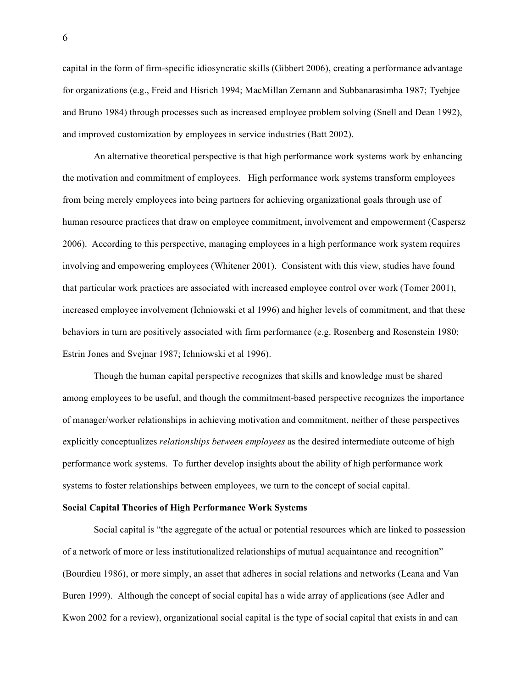capital in the form of firm-specific idiosyncratic skills (Gibbert 2006), creating a performance advantage for organizations (e.g., Freid and Hisrich 1994; MacMillan Zemann and Subbanarasimha 1987; Tyebjee and Bruno 1984) through processes such as increased employee problem solving (Snell and Dean 1992), and improved customization by employees in service industries (Batt 2002).

An alternative theoretical perspective is that high performance work systems work by enhancing the motivation and commitment of employees. High performance work systems transform employees from being merely employees into being partners for achieving organizational goals through use of human resource practices that draw on employee commitment, involvement and empowerment (Caspersz 2006). According to this perspective, managing employees in a high performance work system requires involving and empowering employees (Whitener 2001). Consistent with this view, studies have found that particular work practices are associated with increased employee control over work (Tomer 2001), increased employee involvement (Ichniowski et al 1996) and higher levels of commitment, and that these behaviors in turn are positively associated with firm performance (e.g. Rosenberg and Rosenstein 1980; Estrin Jones and Svejnar 1987; Ichniowski et al 1996).

Though the human capital perspective recognizes that skills and knowledge must be shared among employees to be useful, and though the commitment-based perspective recognizes the importance of manager/worker relationships in achieving motivation and commitment, neither of these perspectives explicitly conceptualizes *relationships between employees* as the desired intermediate outcome of high performance work systems. To further develop insights about the ability of high performance work systems to foster relationships between employees, we turn to the concept of social capital.

#### **Social Capital Theories of High Performance Work Systems**

Social capital is "the aggregate of the actual or potential resources which are linked to possession of a network of more or less institutionalized relationships of mutual acquaintance and recognition" (Bourdieu 1986), or more simply, an asset that adheres in social relations and networks (Leana and Van Buren 1999). Although the concept of social capital has a wide array of applications (see Adler and Kwon 2002 for a review), organizational social capital is the type of social capital that exists in and can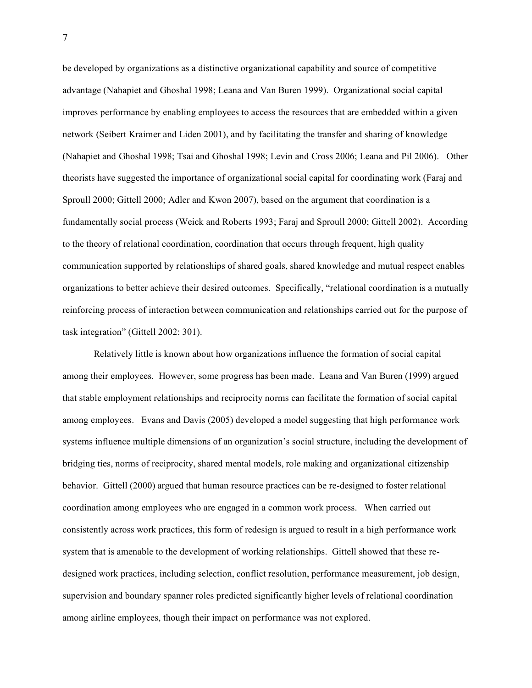be developed by organizations as a distinctive organizational capability and source of competitive advantage (Nahapiet and Ghoshal 1998; Leana and Van Buren 1999). Organizational social capital improves performance by enabling employees to access the resources that are embedded within a given network (Seibert Kraimer and Liden 2001), and by facilitating the transfer and sharing of knowledge (Nahapiet and Ghoshal 1998; Tsai and Ghoshal 1998; Levin and Cross 2006; Leana and Pil 2006). Other theorists have suggested the importance of organizational social capital for coordinating work (Faraj and Sproull 2000; Gittell 2000; Adler and Kwon 2007), based on the argument that coordination is a fundamentally social process (Weick and Roberts 1993; Faraj and Sproull 2000; Gittell 2002). According to the theory of relational coordination, coordination that occurs through frequent, high quality communication supported by relationships of shared goals, shared knowledge and mutual respect enables organizations to better achieve their desired outcomes. Specifically, "relational coordination is a mutually reinforcing process of interaction between communication and relationships carried out for the purpose of task integration" (Gittell 2002: 301).

Relatively little is known about how organizations influence the formation of social capital among their employees. However, some progress has been made. Leana and Van Buren (1999) argued that stable employment relationships and reciprocity norms can facilitate the formation of social capital among employees. Evans and Davis (2005) developed a model suggesting that high performance work systems influence multiple dimensions of an organization's social structure, including the development of bridging ties, norms of reciprocity, shared mental models, role making and organizational citizenship behavior. Gittell (2000) argued that human resource practices can be re-designed to foster relational coordination among employees who are engaged in a common work process. When carried out consistently across work practices, this form of redesign is argued to result in a high performance work system that is amenable to the development of working relationships. Gittell showed that these redesigned work practices, including selection, conflict resolution, performance measurement, job design, supervision and boundary spanner roles predicted significantly higher levels of relational coordination among airline employees, though their impact on performance was not explored.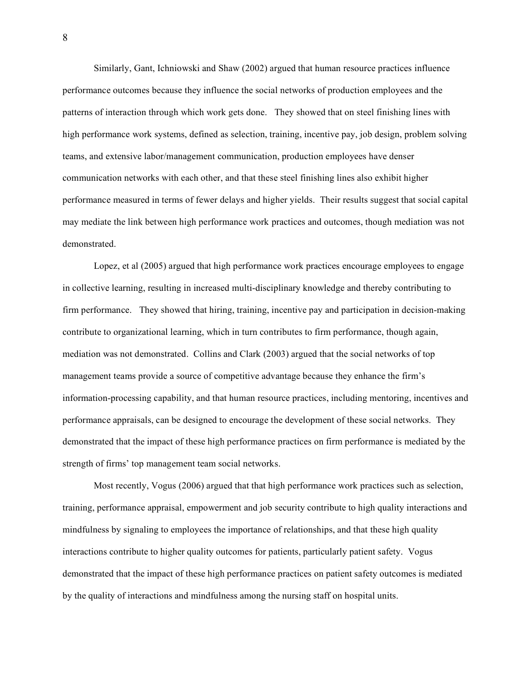Similarly, Gant, Ichniowski and Shaw (2002) argued that human resource practices influence performance outcomes because they influence the social networks of production employees and the patterns of interaction through which work gets done. They showed that on steel finishing lines with high performance work systems, defined as selection, training, incentive pay, job design, problem solving teams, and extensive labor/management communication, production employees have denser communication networks with each other, and that these steel finishing lines also exhibit higher performance measured in terms of fewer delays and higher yields. Their results suggest that social capital may mediate the link between high performance work practices and outcomes, though mediation was not demonstrated.

Lopez, et al (2005) argued that high performance work practices encourage employees to engage in collective learning, resulting in increased multi-disciplinary knowledge and thereby contributing to firm performance. They showed that hiring, training, incentive pay and participation in decision-making contribute to organizational learning, which in turn contributes to firm performance, though again, mediation was not demonstrated. Collins and Clark (2003) argued that the social networks of top management teams provide a source of competitive advantage because they enhance the firm's information-processing capability, and that human resource practices, including mentoring, incentives and performance appraisals, can be designed to encourage the development of these social networks. They demonstrated that the impact of these high performance practices on firm performance is mediated by the strength of firms' top management team social networks.

Most recently, Vogus (2006) argued that that high performance work practices such as selection, training, performance appraisal, empowerment and job security contribute to high quality interactions and mindfulness by signaling to employees the importance of relationships, and that these high quality interactions contribute to higher quality outcomes for patients, particularly patient safety. Vogus demonstrated that the impact of these high performance practices on patient safety outcomes is mediated by the quality of interactions and mindfulness among the nursing staff on hospital units.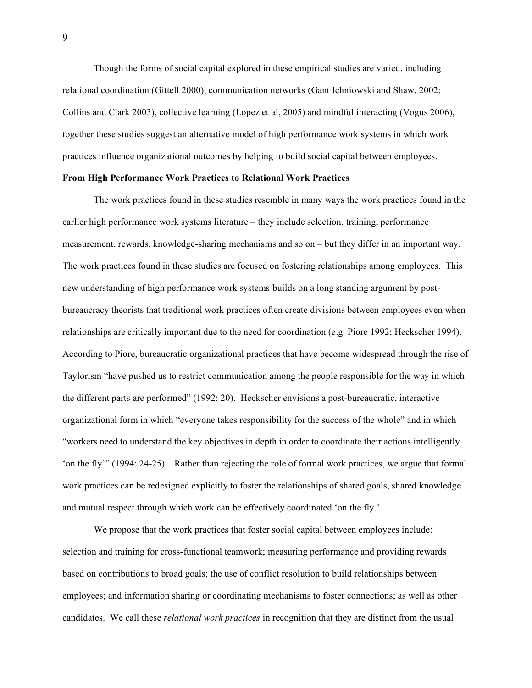Though the forms of social capital explored in these empirical studies are varied, including relational coordination (Gittell 2000), communication networks (Gant Ichniowski and Shaw, 2002; Collins and Clark 2003), collective learning (Lopez et al, 2005) and mindful interacting (Vogus 2006), together these studies suggest an alternative model of high performance work systems in which work practices influence organizational outcomes by helping to build social capital between employees.

#### **From High Performance Work Practices to Relational Work Practices**

The work practices found in these studies resemble in many ways the work practices found in the earlier high performance work systems literature – they include selection, training, performance measurement, rewards, knowledge-sharing mechanisms and so on – but they differ in an important way. The work practices found in these studies are focused on fostering relationships among employees. This new understanding of high performance work systems builds on a long standing argument by postbureaucracy theorists that traditional work practices often create divisions between employees even when relationships are critically important due to the need for coordination (e.g. Piore 1992; Heckscher 1994). According to Piore, bureaucratic organizational practices that have become widespread through the rise of Taylorism "have pushed us to restrict communication among the people responsible for the way in which the different parts are performed" (1992: 20). Heckscher envisions a post-bureaucratic, interactive organizational form in which "everyone takes responsibility for the success of the whole" and in which "workers need to understand the key objectives in depth in order to coordinate their actions intelligently 'on the fly'" (1994: 24-25). Rather than rejecting the role of formal work practices, we argue that formal work practices can be redesigned explicitly to foster the relationships of shared goals, shared knowledge and mutual respect through which work can be effectively coordinated 'on the fly.'

We propose that the work practices that foster social capital between employees include: selection and training for cross-functional teamwork; measuring performance and providing rewards based on contributions to broad goals; the use of conflict resolution to build relationships between employees; and information sharing or coordinating mechanisms to foster connections; as well as other candidates. We call these *relational work practices* in recognition that they are distinct from the usual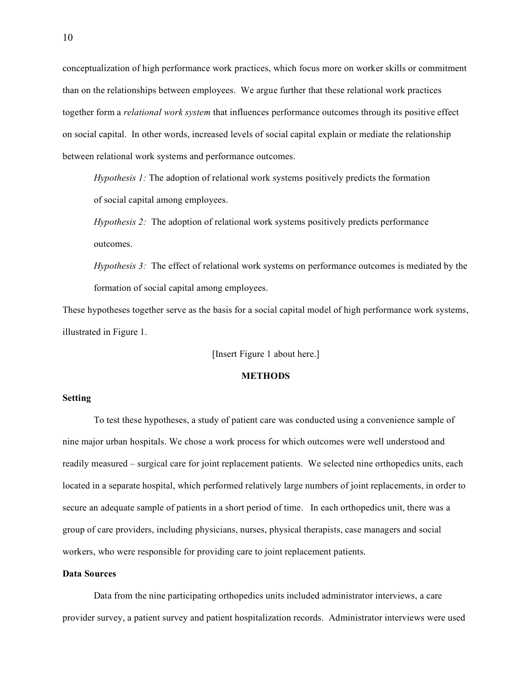conceptualization of high performance work practices, which focus more on worker skills or commitment than on the relationships between employees. We argue further that these relational work practices together form a *relational work system* that influences performance outcomes through its positive effect on social capital. In other words, increased levels of social capital explain or mediate the relationship between relational work systems and performance outcomes.

*Hypothesis 1:* The adoption of relational work systems positively predicts the formation of social capital among employees.

*Hypothesis 2:* The adoption of relational work systems positively predicts performance outcomes.

*Hypothesis 3:* The effect of relational work systems on performance outcomes is mediated by the formation of social capital among employees.

These hypotheses together serve as the basis for a social capital model of high performance work systems, illustrated in Figure 1.

[Insert Figure 1 about here.]

## **METHODS**

## **Setting**

To test these hypotheses, a study of patient care was conducted using a convenience sample of nine major urban hospitals. We chose a work process for which outcomes were well understood and readily measured – surgical care for joint replacement patients. We selected nine orthopedics units, each located in a separate hospital, which performed relatively large numbers of joint replacements, in order to secure an adequate sample of patients in a short period of time. In each orthopedics unit, there was a group of care providers, including physicians, nurses, physical therapists, case managers and social workers, who were responsible for providing care to joint replacement patients.

## **Data Sources**

Data from the nine participating orthopedics units included administrator interviews, a care provider survey, a patient survey and patient hospitalization records. Administrator interviews were used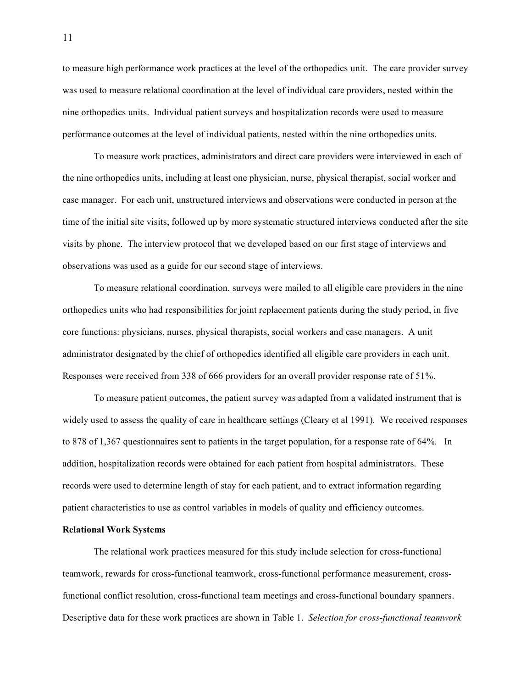to measure high performance work practices at the level of the orthopedics unit. The care provider survey was used to measure relational coordination at the level of individual care providers, nested within the nine orthopedics units. Individual patient surveys and hospitalization records were used to measure performance outcomes at the level of individual patients, nested within the nine orthopedics units.

To measure work practices, administrators and direct care providers were interviewed in each of the nine orthopedics units, including at least one physician, nurse, physical therapist, social worker and case manager. For each unit, unstructured interviews and observations were conducted in person at the time of the initial site visits, followed up by more systematic structured interviews conducted after the site visits by phone. The interview protocol that we developed based on our first stage of interviews and observations was used as a guide for our second stage of interviews.

To measure relational coordination, surveys were mailed to all eligible care providers in the nine orthopedics units who had responsibilities for joint replacement patients during the study period, in five core functions: physicians, nurses, physical therapists, social workers and case managers. A unit administrator designated by the chief of orthopedics identified all eligible care providers in each unit. Responses were received from 338 of 666 providers for an overall provider response rate of 51%.

To measure patient outcomes, the patient survey was adapted from a validated instrument that is widely used to assess the quality of care in healthcare settings (Cleary et al 1991). We received responses to 878 of 1,367 questionnaires sent to patients in the target population, for a response rate of 64%. In addition, hospitalization records were obtained for each patient from hospital administrators. These records were used to determine length of stay for each patient, and to extract information regarding patient characteristics to use as control variables in models of quality and efficiency outcomes.

## **Relational Work Systems**

The relational work practices measured for this study include selection for cross-functional teamwork, rewards for cross-functional teamwork, cross-functional performance measurement, crossfunctional conflict resolution, cross-functional team meetings and cross-functional boundary spanners. Descriptive data for these work practices are shown in Table 1. *Selection for cross-functional teamwork*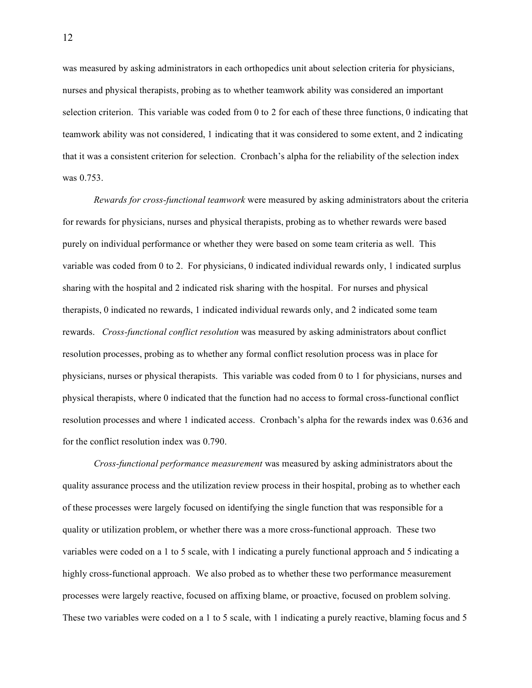was measured by asking administrators in each orthopedics unit about selection criteria for physicians, nurses and physical therapists, probing as to whether teamwork ability was considered an important selection criterion. This variable was coded from 0 to 2 for each of these three functions, 0 indicating that teamwork ability was not considered, 1 indicating that it was considered to some extent, and 2 indicating that it was a consistent criterion for selection. Cronbach's alpha for the reliability of the selection index was 0.753.

*Rewards for cross-functional teamwork* were measured by asking administrators about the criteria for rewards for physicians, nurses and physical therapists, probing as to whether rewards were based purely on individual performance or whether they were based on some team criteria as well. This variable was coded from 0 to 2. For physicians, 0 indicated individual rewards only, 1 indicated surplus sharing with the hospital and 2 indicated risk sharing with the hospital. For nurses and physical therapists, 0 indicated no rewards, 1 indicated individual rewards only, and 2 indicated some team rewards. *Cross-functional conflict resolution* was measured by asking administrators about conflict resolution processes, probing as to whether any formal conflict resolution process was in place for physicians, nurses or physical therapists. This variable was coded from 0 to 1 for physicians, nurses and physical therapists, where 0 indicated that the function had no access to formal cross-functional conflict resolution processes and where 1 indicated access. Cronbach's alpha for the rewards index was 0.636 and for the conflict resolution index was 0.790.

*Cross-functional performance measurement* was measured by asking administrators about the quality assurance process and the utilization review process in their hospital, probing as to whether each of these processes were largely focused on identifying the single function that was responsible for a quality or utilization problem, or whether there was a more cross-functional approach. These two variables were coded on a 1 to 5 scale, with 1 indicating a purely functional approach and 5 indicating a highly cross-functional approach. We also probed as to whether these two performance measurement processes were largely reactive, focused on affixing blame, or proactive, focused on problem solving. These two variables were coded on a 1 to 5 scale, with 1 indicating a purely reactive, blaming focus and 5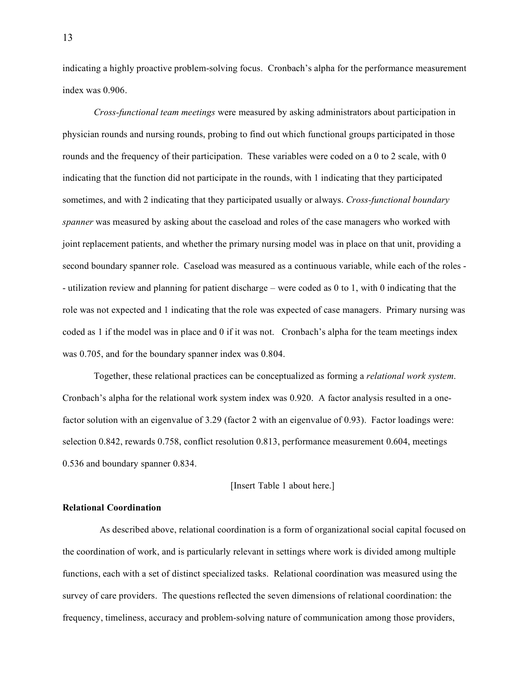indicating a highly proactive problem-solving focus. Cronbach's alpha for the performance measurement index was 0.906.

*Cross-functional team meetings* were measured by asking administrators about participation in physician rounds and nursing rounds, probing to find out which functional groups participated in those rounds and the frequency of their participation. These variables were coded on a 0 to 2 scale, with 0 indicating that the function did not participate in the rounds, with 1 indicating that they participated sometimes, and with 2 indicating that they participated usually or always. *Cross-functional boundary spanner* was measured by asking about the caseload and roles of the case managers who worked with joint replacement patients, and whether the primary nursing model was in place on that unit, providing a second boundary spanner role. Caseload was measured as a continuous variable, while each of the roles - - utilization review and planning for patient discharge – were coded as 0 to 1, with 0 indicating that the role was not expected and 1 indicating that the role was expected of case managers. Primary nursing was coded as 1 if the model was in place and 0 if it was not. Cronbach's alpha for the team meetings index was 0.705, and for the boundary spanner index was 0.804.

Together, these relational practices can be conceptualized as forming a *relational work system*. Cronbach's alpha for the relational work system index was 0.920. A factor analysis resulted in a onefactor solution with an eigenvalue of 3.29 (factor 2 with an eigenvalue of 0.93). Factor loadings were: selection 0.842, rewards 0.758, conflict resolution 0.813, performance measurement 0.604, meetings 0.536 and boundary spanner 0.834.

[Insert Table 1 about here.]

# **Relational Coordination**

As described above, relational coordination is a form of organizational social capital focused on the coordination of work, and is particularly relevant in settings where work is divided among multiple functions, each with a set of distinct specialized tasks. Relational coordination was measured using the survey of care providers. The questions reflected the seven dimensions of relational coordination: the frequency, timeliness, accuracy and problem-solving nature of communication among those providers,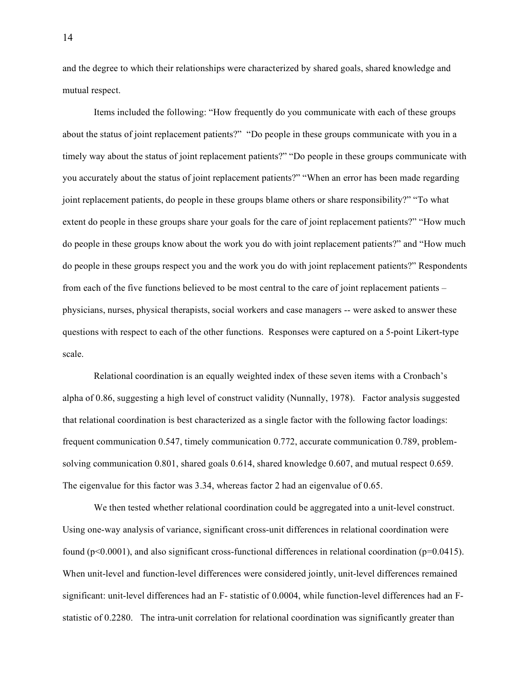and the degree to which their relationships were characterized by shared goals, shared knowledge and mutual respect.

Items included the following: "How frequently do you communicate with each of these groups about the status of joint replacement patients?" "Do people in these groups communicate with you in a timely way about the status of joint replacement patients?" "Do people in these groups communicate with you accurately about the status of joint replacement patients?" "When an error has been made regarding joint replacement patients, do people in these groups blame others or share responsibility?" "To what extent do people in these groups share your goals for the care of joint replacement patients?" "How much do people in these groups know about the work you do with joint replacement patients?" and "How much do people in these groups respect you and the work you do with joint replacement patients?" Respondents from each of the five functions believed to be most central to the care of joint replacement patients – physicians, nurses, physical therapists, social workers and case managers -- were asked to answer these questions with respect to each of the other functions. Responses were captured on a 5-point Likert-type scale.

Relational coordination is an equally weighted index of these seven items with a Cronbach's alpha of 0.86, suggesting a high level of construct validity (Nunnally, 1978). Factor analysis suggested that relational coordination is best characterized as a single factor with the following factor loadings: frequent communication 0.547, timely communication 0.772, accurate communication 0.789, problemsolving communication 0.801, shared goals 0.614, shared knowledge 0.607, and mutual respect 0.659. The eigenvalue for this factor was 3.34, whereas factor 2 had an eigenvalue of 0.65.

We then tested whether relational coordination could be aggregated into a unit-level construct. Using one-way analysis of variance, significant cross-unit differences in relational coordination were found ( $p<0.0001$ ), and also significant cross-functional differences in relational coordination ( $p=0.0415$ ). When unit-level and function-level differences were considered jointly, unit-level differences remained significant: unit-level differences had an F- statistic of 0.0004, while function-level differences had an Fstatistic of 0.2280. The intra-unit correlation for relational coordination was significantly greater than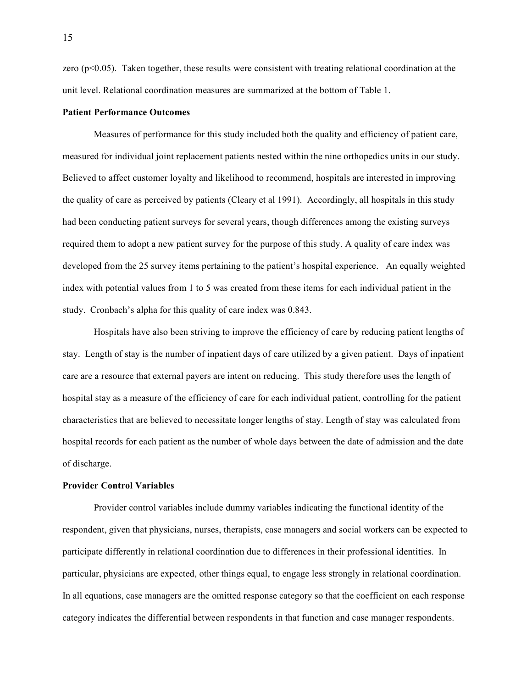zero  $(p<0.05)$ . Taken together, these results were consistent with treating relational coordination at the unit level. Relational coordination measures are summarized at the bottom of Table 1.

## **Patient Performance Outcomes**

Measures of performance for this study included both the quality and efficiency of patient care, measured for individual joint replacement patients nested within the nine orthopedics units in our study. Believed to affect customer loyalty and likelihood to recommend, hospitals are interested in improving the quality of care as perceived by patients (Cleary et al 1991). Accordingly, all hospitals in this study had been conducting patient surveys for several years, though differences among the existing surveys required them to adopt a new patient survey for the purpose of this study. A quality of care index was developed from the 25 survey items pertaining to the patient's hospital experience. An equally weighted index with potential values from 1 to 5 was created from these items for each individual patient in the study. Cronbach's alpha for this quality of care index was 0.843.

Hospitals have also been striving to improve the efficiency of care by reducing patient lengths of stay. Length of stay is the number of inpatient days of care utilized by a given patient. Days of inpatient care are a resource that external payers are intent on reducing. This study therefore uses the length of hospital stay as a measure of the efficiency of care for each individual patient, controlling for the patient characteristics that are believed to necessitate longer lengths of stay. Length of stay was calculated from hospital records for each patient as the number of whole days between the date of admission and the date of discharge.

### **Provider Control Variables**

Provider control variables include dummy variables indicating the functional identity of the respondent, given that physicians, nurses, therapists, case managers and social workers can be expected to participate differently in relational coordination due to differences in their professional identities. In particular, physicians are expected, other things equal, to engage less strongly in relational coordination. In all equations, case managers are the omitted response category so that the coefficient on each response category indicates the differential between respondents in that function and case manager respondents.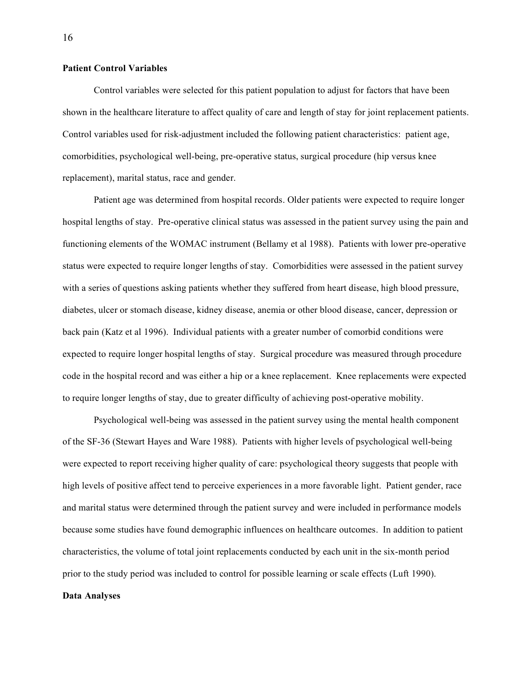# **Patient Control Variables**

Control variables were selected for this patient population to adjust for factors that have been shown in the healthcare literature to affect quality of care and length of stay for joint replacement patients. Control variables used for risk-adjustment included the following patient characteristics: patient age, comorbidities, psychological well-being, pre-operative status, surgical procedure (hip versus knee replacement), marital status, race and gender.

Patient age was determined from hospital records. Older patients were expected to require longer hospital lengths of stay. Pre-operative clinical status was assessed in the patient survey using the pain and functioning elements of the WOMAC instrument (Bellamy et al 1988). Patients with lower pre-operative status were expected to require longer lengths of stay. Comorbidities were assessed in the patient survey with a series of questions asking patients whether they suffered from heart disease, high blood pressure, diabetes, ulcer or stomach disease, kidney disease, anemia or other blood disease, cancer, depression or back pain (Katz et al 1996). Individual patients with a greater number of comorbid conditions were expected to require longer hospital lengths of stay. Surgical procedure was measured through procedure code in the hospital record and was either a hip or a knee replacement. Knee replacements were expected to require longer lengths of stay, due to greater difficulty of achieving post-operative mobility.

Psychological well-being was assessed in the patient survey using the mental health component of the SF-36 (Stewart Hayes and Ware 1988). Patients with higher levels of psychological well-being were expected to report receiving higher quality of care: psychological theory suggests that people with high levels of positive affect tend to perceive experiences in a more favorable light. Patient gender, race and marital status were determined through the patient survey and were included in performance models because some studies have found demographic influences on healthcare outcomes. In addition to patient characteristics, the volume of total joint replacements conducted by each unit in the six-month period prior to the study period was included to control for possible learning or scale effects (Luft 1990).

#### **Data Analyses**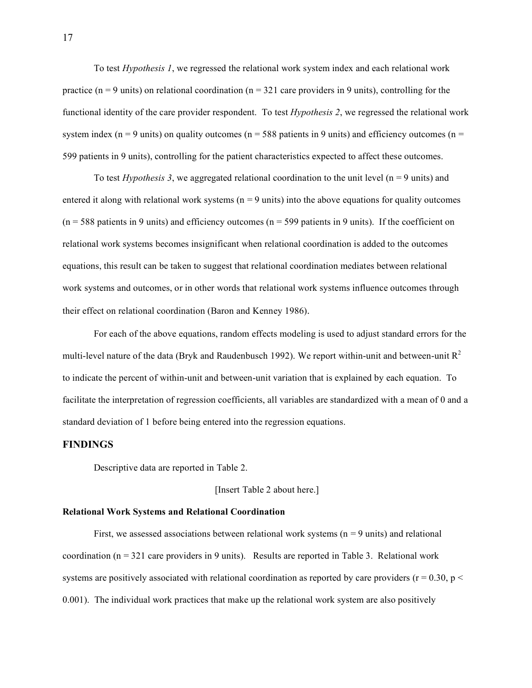To test *Hypothesis 1*, we regressed the relational work system index and each relational work practice ( $n = 9$  units) on relational coordination ( $n = 321$  care providers in 9 units), controlling for the functional identity of the care provider respondent. To test *Hypothesis 2*, we regressed the relational work system index ( $n = 9$  units) on quality outcomes ( $n = 588$  patients in 9 units) and efficiency outcomes ( $n =$ 599 patients in 9 units), controlling for the patient characteristics expected to affect these outcomes.

To test *Hypothesis* 3, we aggregated relational coordination to the unit level  $(n = 9 \text{ units})$  and entered it along with relational work systems ( $n = 9$  units) into the above equations for quality outcomes  $(n = 588$  patients in 9 units) and efficiency outcomes  $(n = 599$  patients in 9 units). If the coefficient on relational work systems becomes insignificant when relational coordination is added to the outcomes equations, this result can be taken to suggest that relational coordination mediates between relational work systems and outcomes, or in other words that relational work systems influence outcomes through their effect on relational coordination (Baron and Kenney 1986).

For each of the above equations, random effects modeling is used to adjust standard errors for the multi-level nature of the data (Bryk and Raudenbusch 1992). We report within-unit and between-unit  $R^2$ to indicate the percent of within-unit and between-unit variation that is explained by each equation. To facilitate the interpretation of regression coefficients, all variables are standardized with a mean of 0 and a standard deviation of 1 before being entered into the regression equations.

# **FINDINGS**

Descriptive data are reported in Table 2.

[Insert Table 2 about here.]

### **Relational Work Systems and Relational Coordination**

First, we assessed associations between relational work systems ( $n = 9$  units) and relational coordination  $(n = 321$  care providers in 9 units). Results are reported in Table 3. Relational work systems are positively associated with relational coordination as reported by care providers ( $r = 0.30$ ,  $p <$ 0.001). The individual work practices that make up the relational work system are also positively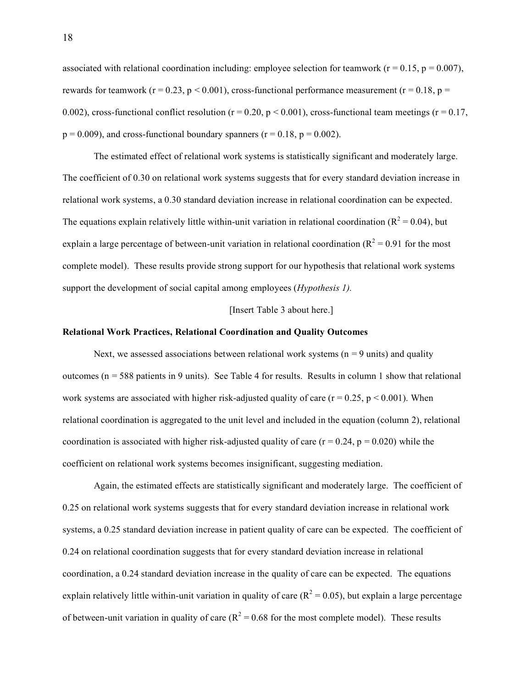associated with relational coordination including: employee selection for teamwork ( $r = 0.15$ ,  $p = 0.007$ ), rewards for teamwork ( $r = 0.23$ ,  $p < 0.001$ ), cross-functional performance measurement ( $r = 0.18$ ,  $p =$ 0.002), cross-functional conflict resolution ( $r = 0.20$ ,  $p < 0.001$ ), cross-functional team meetings ( $r = 0.17$ ,  $p = 0.009$ ), and cross-functional boundary spanners ( $r = 0.18$ ,  $p = 0.002$ ).

The estimated effect of relational work systems is statistically significant and moderately large. The coefficient of 0.30 on relational work systems suggests that for every standard deviation increase in relational work systems, a 0.30 standard deviation increase in relational coordination can be expected. The equations explain relatively little within-unit variation in relational coordination ( $R^2 = 0.04$ ), but explain a large percentage of between-unit variation in relational coordination ( $R^2 = 0.91$  for the most complete model). These results provide strong support for our hypothesis that relational work systems support the development of social capital among employees (*Hypothesis 1).*

#### [Insert Table 3 about here.]

### **Relational Work Practices, Relational Coordination and Quality Outcomes**

Next, we assessed associations between relational work systems ( $n = 9$  units) and quality outcomes ( $n = 588$  patients in 9 units). See Table 4 for results. Results in column 1 show that relational work systems are associated with higher risk-adjusted quality of care ( $r = 0.25$ ,  $p \le 0.001$ ). When relational coordination is aggregated to the unit level and included in the equation (column 2), relational coordination is associated with higher risk-adjusted quality of care ( $r = 0.24$ ,  $p = 0.020$ ) while the coefficient on relational work systems becomes insignificant, suggesting mediation.

Again, the estimated effects are statistically significant and moderately large. The coefficient of 0.25 on relational work systems suggests that for every standard deviation increase in relational work systems, a 0.25 standard deviation increase in patient quality of care can be expected. The coefficient of 0.24 on relational coordination suggests that for every standard deviation increase in relational coordination, a 0.24 standard deviation increase in the quality of care can be expected. The equations explain relatively little within-unit variation in quality of care  $(R^2 = 0.05)$ , but explain a large percentage of between-unit variation in quality of care ( $R^2 = 0.68$  for the most complete model). These results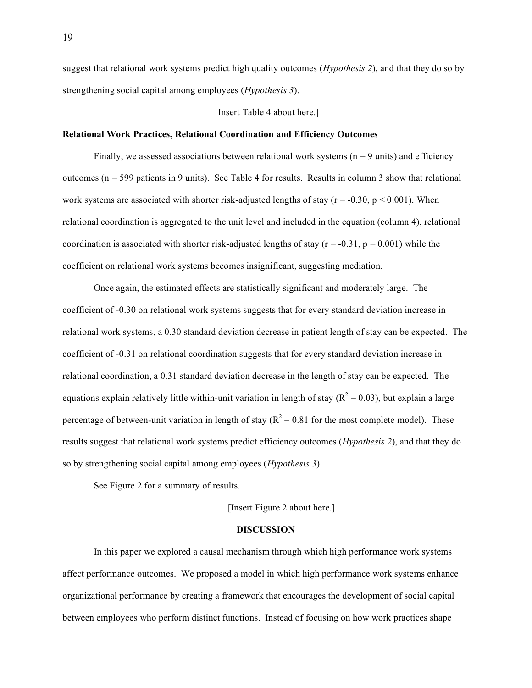suggest that relational work systems predict high quality outcomes (*Hypothesis 2*), and that they do so by strengthening social capital among employees (*Hypothesis 3*).

[Insert Table 4 about here.]

## **Relational Work Practices, Relational Coordination and Efficiency Outcomes**

Finally, we assessed associations between relational work systems  $(n = 9 \text{ units})$  and efficiency outcomes ( $n = 599$  patients in 9 units). See Table 4 for results. Results in column 3 show that relational work systems are associated with shorter risk-adjusted lengths of stay ( $r = -0.30$ ,  $p < 0.001$ ). When relational coordination is aggregated to the unit level and included in the equation (column 4), relational coordination is associated with shorter risk-adjusted lengths of stay ( $r = -0.31$ ,  $p = 0.001$ ) while the coefficient on relational work systems becomes insignificant, suggesting mediation.

Once again, the estimated effects are statistically significant and moderately large. The coefficient of -0.30 on relational work systems suggests that for every standard deviation increase in relational work systems, a 0.30 standard deviation decrease in patient length of stay can be expected. The coefficient of -0.31 on relational coordination suggests that for every standard deviation increase in relational coordination, a 0.31 standard deviation decrease in the length of stay can be expected. The equations explain relatively little within-unit variation in length of stay  $(R^2 = 0.03)$ , but explain a large percentage of between-unit variation in length of stay ( $R^2 = 0.81$  for the most complete model). These results suggest that relational work systems predict efficiency outcomes (*Hypothesis 2*), and that they do so by strengthening social capital among employees (*Hypothesis 3*).

See Figure 2 for a summary of results.

[Insert Figure 2 about here.]

## **DISCUSSION**

In this paper we explored a causal mechanism through which high performance work systems affect performance outcomes. We proposed a model in which high performance work systems enhance organizational performance by creating a framework that encourages the development of social capital between employees who perform distinct functions. Instead of focusing on how work practices shape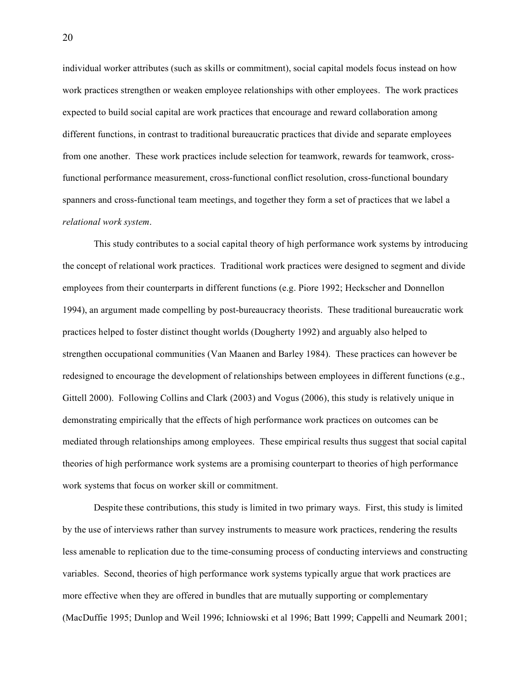individual worker attributes (such as skills or commitment), social capital models focus instead on how work practices strengthen or weaken employee relationships with other employees. The work practices expected to build social capital are work practices that encourage and reward collaboration among different functions, in contrast to traditional bureaucratic practices that divide and separate employees from one another. These work practices include selection for teamwork, rewards for teamwork, crossfunctional performance measurement, cross-functional conflict resolution, cross-functional boundary spanners and cross-functional team meetings, and together they form a set of practices that we label a *relational work system*.

This study contributes to a social capital theory of high performance work systems by introducing the concept of relational work practices. Traditional work practices were designed to segment and divide employees from their counterparts in different functions (e.g. Piore 1992; Heckscher and Donnellon 1994), an argument made compelling by post-bureaucracy theorists. These traditional bureaucratic work practices helped to foster distinct thought worlds (Dougherty 1992) and arguably also helped to strengthen occupational communities (Van Maanen and Barley 1984). These practices can however be redesigned to encourage the development of relationships between employees in different functions (e.g., Gittell 2000). Following Collins and Clark (2003) and Vogus (2006), this study is relatively unique in demonstrating empirically that the effects of high performance work practices on outcomes can be mediated through relationships among employees. These empirical results thus suggest that social capital theories of high performance work systems are a promising counterpart to theories of high performance work systems that focus on worker skill or commitment.

Despite these contributions, this study is limited in two primary ways. First, this study is limited by the use of interviews rather than survey instruments to measure work practices, rendering the results less amenable to replication due to the time-consuming process of conducting interviews and constructing variables. Second, theories of high performance work systems typically argue that work practices are more effective when they are offered in bundles that are mutually supporting or complementary (MacDuffie 1995; Dunlop and Weil 1996; Ichniowski et al 1996; Batt 1999; Cappelli and Neumark 2001;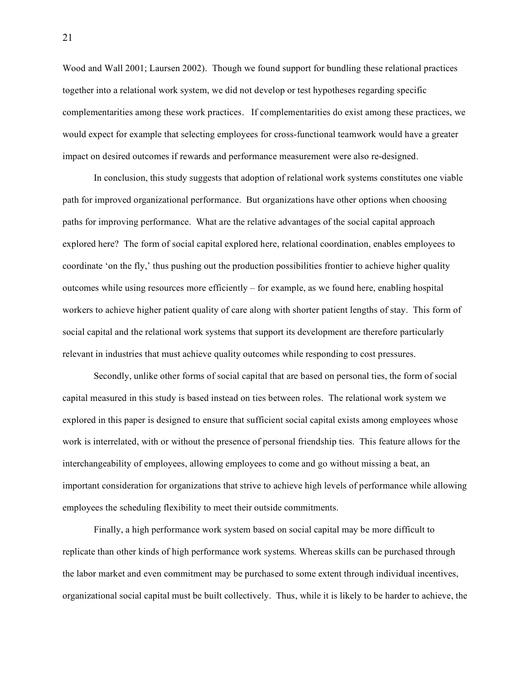Wood and Wall 2001; Laursen 2002). Though we found support for bundling these relational practices together into a relational work system, we did not develop or test hypotheses regarding specific complementarities among these work practices. If complementarities do exist among these practices, we would expect for example that selecting employees for cross-functional teamwork would have a greater impact on desired outcomes if rewards and performance measurement were also re-designed.

In conclusion, this study suggests that adoption of relational work systems constitutes one viable path for improved organizational performance. But organizations have other options when choosing paths for improving performance. What are the relative advantages of the social capital approach explored here? The form of social capital explored here, relational coordination, enables employees to coordinate 'on the fly,' thus pushing out the production possibilities frontier to achieve higher quality outcomes while using resources more efficiently – for example, as we found here, enabling hospital workers to achieve higher patient quality of care along with shorter patient lengths of stay. This form of social capital and the relational work systems that support its development are therefore particularly relevant in industries that must achieve quality outcomes while responding to cost pressures.

Secondly, unlike other forms of social capital that are based on personal ties, the form of social capital measured in this study is based instead on ties between roles. The relational work system we explored in this paper is designed to ensure that sufficient social capital exists among employees whose work is interrelated, with or without the presence of personal friendship ties. This feature allows for the interchangeability of employees, allowing employees to come and go without missing a beat, an important consideration for organizations that strive to achieve high levels of performance while allowing employees the scheduling flexibility to meet their outside commitments.

Finally, a high performance work system based on social capital may be more difficult to replicate than other kinds of high performance work systems*.* Whereas skills can be purchased through the labor market and even commitment may be purchased to some extent through individual incentives, organizational social capital must be built collectively. Thus, while it is likely to be harder to achieve, the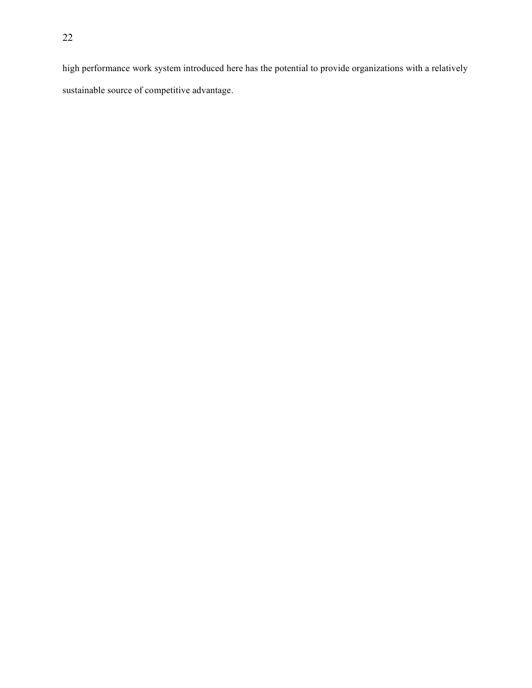high performance work system introduced here has the potential to provide organizations with a relatively sustainable source of competitive advantage.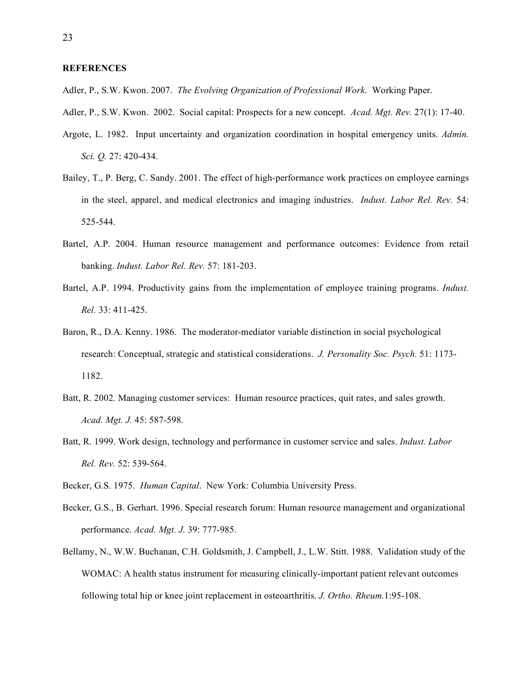## **REFERENCES**

- Adler, P., S.W. Kwon. 2007. *The Evolving Organization of Professional Work*. Working Paper.
- Adler, P., S.W. Kwon. 2002. Social capital: Prospects for a new concept. *Acad. Mgt. Rev.* 27(1): 17-40.
- Argote, L. 1982. Input uncertainty and organization coordination in hospital emergency units. *Admin. Sci. Q.* 27: 420-434.
- Bailey, T., P. Berg, C. Sandy. 2001. The effect of high-performance work practices on employee earnings in the steel, apparel, and medical electronics and imaging industries. *Indust. Labor Rel. Rev.* 54: 525-544.
- Bartel, A.P. 2004. Human resource management and performance outcomes: Evidence from retail banking. *Indust. Labor Rel. Rev.* 57: 181-203.
- Bartel, A.P. 1994. Productivity gains from the implementation of employee training programs. *Indust. Rel.* 33: 411-425.
- Baron, R., D.A. Kenny. 1986. The moderator-mediator variable distinction in social psychological research: Conceptual, strategic and statistical considerations. *J. Personality Soc. Psych.* 51: 1173- 1182.
- Batt, R. 2002*.* Managing customer services: Human resource practices, quit rates, and sales growth. *Acad. Mgt. J.* 45: 587-598.
- Batt, R. 1999. Work design, technology and performance in customer service and sales. *Indust. Labor Rel. Rev.* 52: 539-564.
- Becker, G.S. 1975. *Human Capital*. New York: Columbia University Press.
- Becker, G.S., B. Gerhart. 1996. Special research forum: Human resource management and organizational performance. *Acad. Mgt. J.* 39: 777-985.
- Bellamy, N., W.W. Buchanan, C.H. Goldsmith, J. Campbell, J., L.W. Stitt. 1988. Validation study of the WOMAC: A health status instrument for measuring clinically-important patient relevant outcomes following total hip or knee joint replacement in osteoarthritis. *J. Ortho. Rheum.*1:95-108.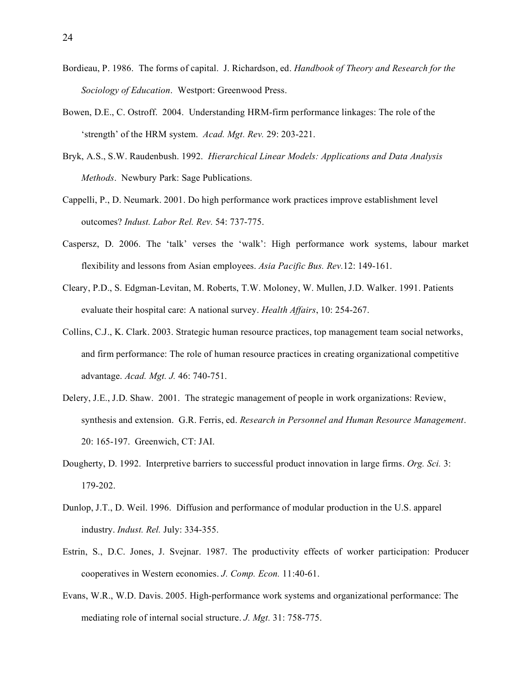- Bordieau, P. 1986. The forms of capital. J. Richardson, ed. *Handbook of Theory and Research for the Sociology of Education*. Westport: Greenwood Press.
- Bowen, D.E., C. Ostroff. 2004. Understanding HRM-firm performance linkages: The role of the 'strength' of the HRM system. *Acad. Mgt. Rev.* 29: 203-221.
- Bryk, A.S., S.W. Raudenbush. 1992. *Hierarchical Linear Models: Applications and Data Analysis Methods*. Newbury Park: Sage Publications.
- Cappelli, P., D. Neumark. 2001. Do high performance work practices improve establishment level outcomes? *Indust. Labor Rel. Rev.* 54: 737-775.
- Caspersz, D. 2006. The 'talk' verses the 'walk': High performance work systems, labour market flexibility and lessons from Asian employees. *Asia Pacific Bus. Rev.*12: 149-161.
- Cleary, P.D., S. Edgman-Levitan, M. Roberts, T.W. Moloney, W. Mullen, J.D. Walker. 1991. Patients evaluate their hospital care: A national survey. *Health Affairs*, 10: 254-267.
- Collins, C.J., K. Clark. 2003. Strategic human resource practices, top management team social networks, and firm performance: The role of human resource practices in creating organizational competitive advantage. *Acad. Mgt. J.* 46: 740-751.
- Delery, J.E., J.D. Shaw. 2001. The strategic management of people in work organizations: Review, synthesis and extension. G.R. Ferris, ed. *Research in Personnel and Human Resource Management*. 20: 165-197. Greenwich, CT: JAI.
- Dougherty, D. 1992. Interpretive barriers to successful product innovation in large firms. *Org. Sci.* 3: 179-202.
- Dunlop, J.T., D. Weil. 1996. Diffusion and performance of modular production in the U.S. apparel industry. *Indust. Rel.* July: 334-355.
- Estrin, S., D.C. Jones, J. Svejnar. 1987. The productivity effects of worker participation: Producer cooperatives in Western economies. *J. Comp. Econ.* 11:40-61.
- Evans, W.R., W.D. Davis. 2005. High-performance work systems and organizational performance: The mediating role of internal social structure. *J. Mgt.* 31: 758-775.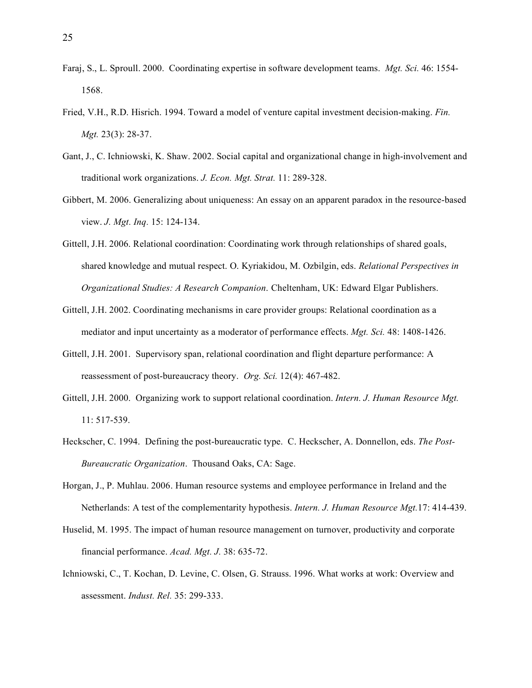- Faraj, S., L. Sproull. 2000. Coordinating expertise in software development teams. *Mgt. Sci.* 46: 1554- 1568.
- Fried, V.H., R.D. Hisrich. 1994. Toward a model of venture capital investment decision-making. *Fin. Mgt.* 23(3): 28-37.
- Gant, J., C. Ichniowski, K. Shaw. 2002. Social capital and organizational change in high-involvement and traditional work organizations. *J. Econ. Mgt. Strat.* 11: 289-328.
- Gibbert, M. 2006. Generalizing about uniqueness: An essay on an apparent paradox in the resource-based view. *J. Mgt. Inq.* 15: 124-134.
- Gittell, J.H. 2006. Relational coordination: Coordinating work through relationships of shared goals, shared knowledge and mutual respect. O. Kyriakidou, M. Ozbilgin, eds. *Relational Perspectives in Organizational Studies: A Research Companion*. Cheltenham, UK: Edward Elgar Publishers.
- Gittell, J.H. 2002. Coordinating mechanisms in care provider groups: Relational coordination as a mediator and input uncertainty as a moderator of performance effects. *Mgt. Sci.* 48: 1408-1426.
- Gittell, J.H. 2001. Supervisory span, relational coordination and flight departure performance: A reassessment of post-bureaucracy theory. *Org. Sci.* 12(4): 467-482.
- Gittell, J.H. 2000. Organizing work to support relational coordination. *Intern. J. Human Resource Mgt.* 11: 517-539.
- Heckscher, C. 1994. Defining the post-bureaucratic type. C. Heckscher, A. Donnellon, eds. *The Post-Bureaucratic Organization*. Thousand Oaks, CA: Sage.
- Horgan, J., P. Muhlau. 2006. Human resource systems and employee performance in Ireland and the Netherlands: A test of the complementarity hypothesis. *Intern. J. Human Resource Mgt.*17: 414-439.
- Huselid, M. 1995. The impact of human resource management on turnover, productivity and corporate financial performance. *Acad. Mgt. J.* 38: 635-72.
- Ichniowski, C., T. Kochan, D. Levine, C. Olsen, G. Strauss. 1996. What works at work: Overview and assessment. *Indust. Rel.* 35: 299-333.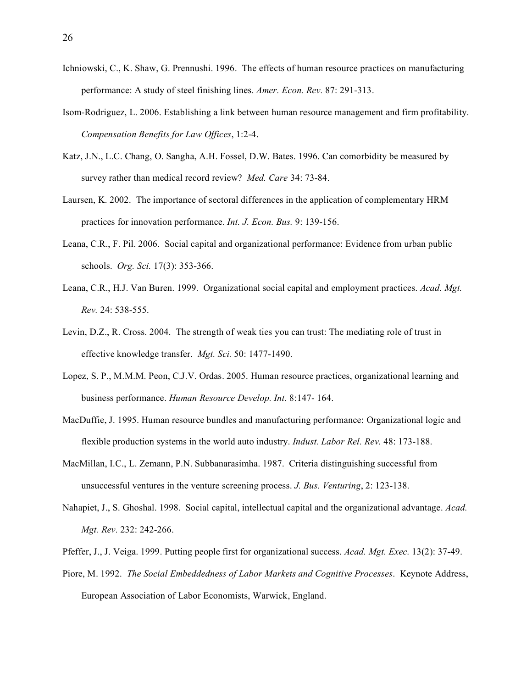- Ichniowski, C., K. Shaw, G. Prennushi. 1996. The effects of human resource practices on manufacturing performance: A study of steel finishing lines. *Amer. Econ. Rev.* 87: 291-313.
- Isom-Rodriguez, L. 2006. Establishing a link between human resource management and firm profitability. *Compensation Benefits for Law Offices*, 1:2-4.
- Katz, J.N., L.C. Chang, O. Sangha, A.H. Fossel, D.W. Bates. 1996. Can comorbidity be measured by survey rather than medical record review? *Med. Care* 34: 73-84.
- Laursen, K. 2002. The importance of sectoral differences in the application of complementary HRM practices for innovation performance. *Int. J. Econ. Bus.* 9: 139-156.
- Leana, C.R., F. Pil. 2006. Social capital and organizational performance: Evidence from urban public schools. *Org. Sci.* 17(3): 353-366.
- Leana, C.R., H.J. Van Buren. 1999. Organizational social capital and employment practices. *Acad. Mgt. Rev.* 24: 538-555.
- Levin, D.Z., R. Cross. 2004. The strength of weak ties you can trust: The mediating role of trust in effective knowledge transfer. *Mgt. Sci.* 50: 1477-1490.
- Lopez, S. P., M.M.M. Peon, C.J.V. Ordas. 2005. Human resource practices, organizational learning and business performance. *Human Resource Develop. Int.* 8:147- 164.
- MacDuffie, J. 1995. Human resource bundles and manufacturing performance: Organizational logic and flexible production systems in the world auto industry. *Indust. Labor Rel. Rev.* 48: 173-188.
- MacMillan, I.C., L. Zemann, P.N. Subbanarasimha. 1987. Criteria distinguishing successful from unsuccessful ventures in the venture screening process. *J. Bus. Venturing*, 2: 123-138.
- Nahapiet, J., S. Ghoshal. 1998. Social capital, intellectual capital and the organizational advantage. *Acad. Mgt. Rev.* 232: 242-266.
- Pfeffer, J., J. Veiga. 1999. Putting people first for organizational success. *Acad. Mgt. Exec.* 13(2): 37-49.
- Piore, M. 1992. *The Social Embeddedness of Labor Markets and Cognitive Processes*. Keynote Address, European Association of Labor Economists, Warwick, England.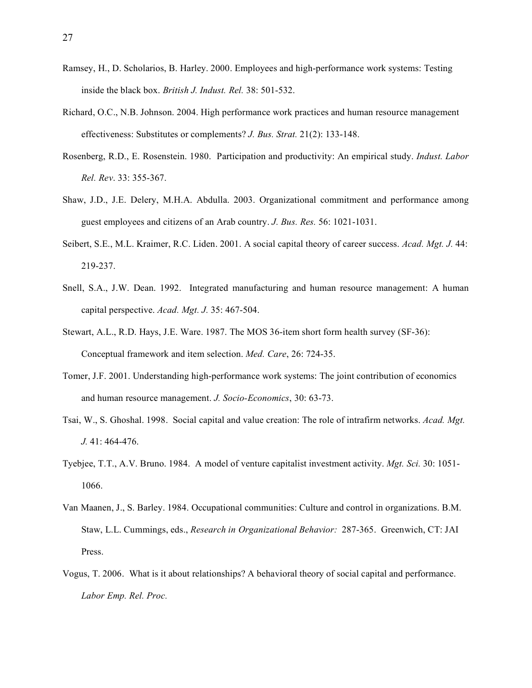- Ramsey, H., D. Scholarios, B. Harley. 2000. Employees and high-performance work systems: Testing inside the black box. *British J. Indust. Rel.* 38: 501-532.
- Richard, O.C., N.B. Johnson. 2004. High performance work practices and human resource management effectiveness: Substitutes or complements? *J. Bus. Strat.* 21(2): 133-148.
- Rosenberg, R.D., E. Rosenstein. 1980. Participation and productivity: An empirical study. *Indust. Labor Rel. Rev*. 33: 355-367.
- Shaw, J.D., J.E. Delery, M.H.A. Abdulla. 2003. Organizational commitment and performance among guest employees and citizens of an Arab country. *J. Bus. Res.* 56: 1021-1031.
- Seibert, S.E., M.L. Kraimer, R.C. Liden. 2001. A social capital theory of career success. *Acad. Mgt. J.* 44: 219-237.
- Snell, S.A., J.W. Dean. 1992. Integrated manufacturing and human resource management: A human capital perspective. *Acad. Mgt. J.* 35: 467-504.
- Stewart, A.L., R.D. Hays, J.E. Ware. 1987. The MOS 36-item short form health survey (SF-36): Conceptual framework and item selection. *Med. Care*, 26: 724-35.
- Tomer, J.F. 2001. Understanding high-performance work systems: The joint contribution of economics and human resource management. *J. Socio-Economics*, 30: 63-73.
- Tsai, W., S. Ghoshal. 1998. Social capital and value creation: The role of intrafirm networks. *Acad. Mgt. J.* 41: 464-476.
- Tyebjee, T.T., A.V. Bruno. 1984. A model of venture capitalist investment activity. *Mgt. Sci.* 30: 1051- 1066.
- Van Maanen, J., S. Barley. 1984. Occupational communities: Culture and control in organizations. B.M. Staw, L.L. Cummings, eds., *Research in Organizational Behavior:* 287-365. Greenwich, CT: JAI Press.
- Vogus, T. 2006. What is it about relationships? A behavioral theory of social capital and performance. *Labor Emp. Rel. Proc.*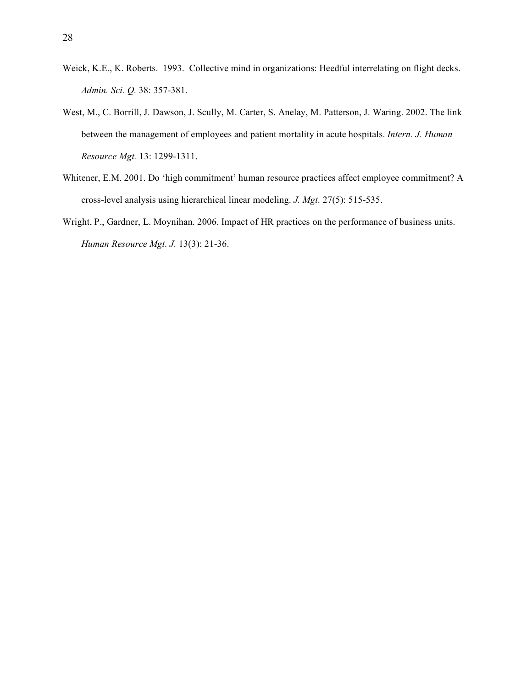- Weick, K.E., K. Roberts. 1993. Collective mind in organizations: Heedful interrelating on flight decks. *Admin. Sci. Q.* 38: 357-381.
- West, M., C. Borrill, J. Dawson, J. Scully, M. Carter, S. Anelay, M. Patterson, J. Waring. 2002. The link between the management of employees and patient mortality in acute hospitals. *Intern. J. Human Resource Mgt.* 13: 1299-1311.
- Whitener, E.M. 2001. Do 'high commitment' human resource practices affect employee commitment? A cross-level analysis using hierarchical linear modeling. *J. Mgt.* 27(5): 515-535.
- Wright, P., Gardner, L. Moynihan. 2006. Impact of HR practices on the performance of business units. *Human Resource Mgt. J.* 13(3): 21-36.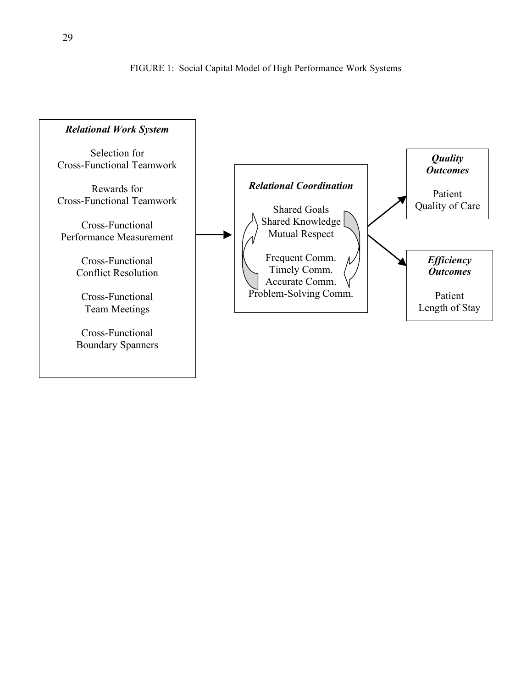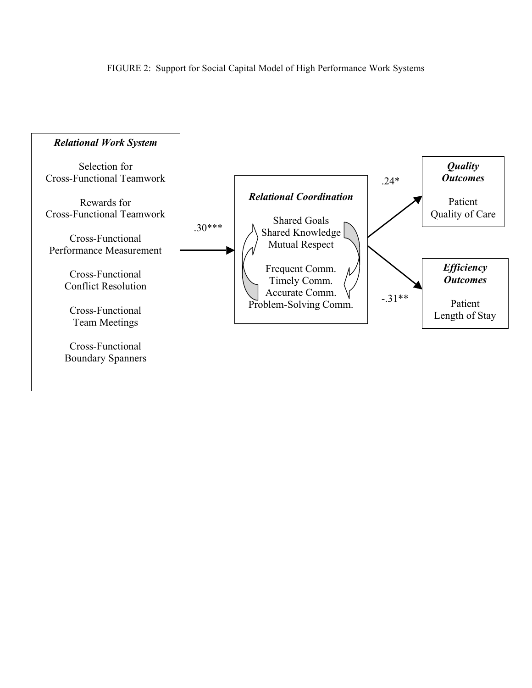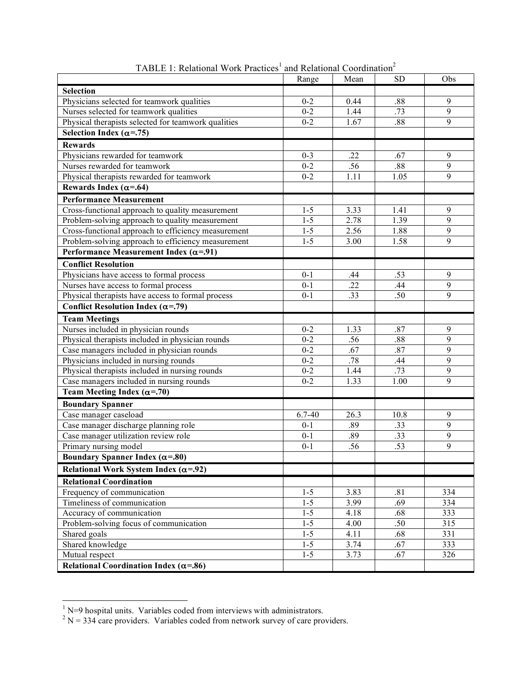|                                                                                                | Range   | Mean             | <b>SD</b> | Obs |
|------------------------------------------------------------------------------------------------|---------|------------------|-----------|-----|
| <b>Selection</b>                                                                               |         |                  |           |     |
| Physicians selected for teamwork qualities                                                     | $0 - 2$ | 0.44             | .88       | 9   |
| Nurses selected for teamwork qualities                                                         | $0 - 2$ | 1.44             | .73       | 9   |
| Physical therapists selected for teamwork qualities                                            | $0 - 2$ | 1.67             | .88       | 9   |
| Selection Index ( $\alpha$ =.75)                                                               |         |                  |           |     |
| <b>Rewards</b>                                                                                 |         |                  |           |     |
| Physicians rewarded for teamwork                                                               | $0 - 3$ | .22              | .67       | 9   |
| Nurses rewarded for teamwork                                                                   | $0 - 2$ | .56              | .88       | 9   |
| Physical therapists rewarded for teamwork                                                      | $0 - 2$ | 1.11             | 1.05      | 9   |
| Rewards Index ( $\alpha$ =.64)                                                                 |         |                  |           |     |
| <b>Performance Measurement</b>                                                                 |         |                  |           |     |
| Cross-functional approach to quality measurement                                               | $1 - 5$ | 3.33             | 1.41      | 9   |
| Problem-solving approach to quality measurement                                                | $1 - 5$ | 2.78             | 1.39      | 9   |
| Cross-functional approach to efficiency measurement                                            | $1 - 5$ | 2.56             | 1.88      | 9   |
| Problem-solving approach to efficiency measurement                                             | $1 - 5$ | 3.00             | 1.58      | 9   |
| Performance Measurement Index ( $\alpha$ =.91)                                                 |         |                  |           |     |
| <b>Conflict Resolution</b>                                                                     |         |                  |           |     |
| Physicians have access to formal process                                                       | $0 - 1$ | .44              | .53       | 9   |
| Nurses have access to formal process                                                           | $0 - 1$ | .22              | .44       | 9   |
| Physical therapists have access to formal process                                              | $0 - 1$ | $\overline{.33}$ | .50       | 9   |
| <b>Conflict Resolution Index (<math>\alpha</math>=.79)</b>                                     |         |                  |           |     |
| <b>Team Meetings</b>                                                                           |         |                  |           |     |
| Nurses included in physician rounds                                                            | $0 - 2$ | 1.33             | .87       | 9   |
|                                                                                                | $0 - 2$ | .56              | .88       | 9   |
| Physical therapists included in physician rounds<br>Case managers included in physician rounds | $0 - 2$ | .67              | .87       | 9   |
| Physicians included in nursing rounds                                                          | $0 - 2$ | .78              | .44       | 9   |
| Physical therapists included in nursing rounds                                                 | $0 - 2$ | 1.44             | .73       | 9   |
| Case managers included in nursing rounds                                                       | $0 - 2$ | 1.33             | 1.00      | 9   |
| Team Meeting Index ( $\alpha$ =.70)                                                            |         |                  |           |     |
|                                                                                                |         |                  |           |     |
| <b>Boundary Spanner</b>                                                                        | 6.7-40  | 26.3             | 10.8      | 9   |
| Case manager caseload<br>Case manager discharge planning role                                  | $0 - 1$ | .89              | .33       | 9   |
| Case manager utilization review role                                                           | $0 - 1$ | .89              | .33       | 9   |
| Primary nursing model                                                                          | $0 - 1$ | .56              | .53       | 9   |
| Boundary Spanner Index ( $\alpha$ =.80)                                                        |         |                  |           |     |
|                                                                                                |         |                  |           |     |
| Relational Work System Index ( $\alpha$ =.92)                                                  |         |                  |           |     |
| <b>Relational Coordination</b>                                                                 |         |                  |           |     |
| Frequency of communication                                                                     | $1 - 5$ | 3.83             | .81       | 334 |
| Timeliness of communication                                                                    | $1 - 5$ | 3.99             | .69       | 334 |
| Accuracy of communication                                                                      | $1 - 5$ | 4.18             | .68       | 333 |
| Problem-solving focus of communication                                                         | $1 - 5$ | 4.00             | .50       | 315 |
| Shared goals                                                                                   | $1 - 5$ | 4.11             | .68       | 331 |
| Shared knowledge                                                                               | $1 - 5$ | 3.74             | .67       | 333 |
| Mutual respect                                                                                 | $1 - 5$ | 3.73             | .67       | 326 |
| Relational Coordination Index ( $\alpha$ =.86)                                                 |         |                  |           |     |

TABLE 1: Relational Work Practices<sup>1</sup> and Relational Coordination<sup>2</sup>

 $\frac{1}{2}$ N=9 hospital units. Variables coded from interviews with administrators.<br><sup>2</sup> N = 334 care providers. Variables coded from network survey of care providers.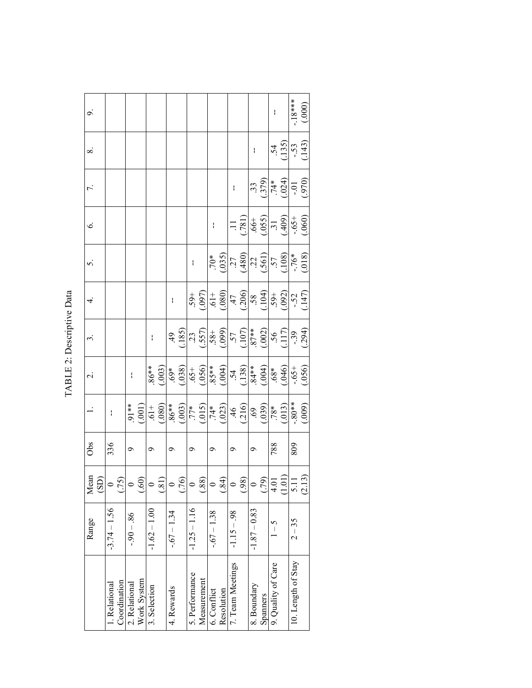| š        |
|----------|
|          |
|          |
|          |
|          |
|          |
|          |
| J        |
| :        |
| Ľ        |
|          |
| ר<br>דוד |
|          |
|          |
| ŕ        |
|          |

| $\sim$                   |                |              |               |             |                |                          |              |    |                |             |              |                                                                                                                                                                                                                                                                                                                                                                                                                                     |                  |      |                          |          | $\mathbf{I}$       |                    |                                                                        | (000)  |
|--------------------------|----------------|--------------|---------------|-------------|----------------|--------------------------|--------------|----|----------------|-------------|--------------|-------------------------------------------------------------------------------------------------------------------------------------------------------------------------------------------------------------------------------------------------------------------------------------------------------------------------------------------------------------------------------------------------------------------------------------|------------------|------|--------------------------|----------|--------------------|--------------------|------------------------------------------------------------------------|--------|
| $\infty$                 |                |              |               |             |                |                          |              |    |                |             |              |                                                                                                                                                                                                                                                                                                                                                                                                                                     |                  |      | $\overline{\phantom{a}}$ |          |                    |                    | $\frac{54}{(135)}$<br>$-53$<br>$(143)$                                 |        |
|                          |                |              |               |             |                |                          |              |    |                |             |              |                                                                                                                                                                                                                                                                                                                                                                                                                                     | $\mathbf{I}$     |      |                          |          |                    |                    | $\frac{(379)}{74*}$ $\frac{(024)}{01}$                                 |        |
| $\acute{\circ}$          |                |              |               |             |                |                          |              |    |                |             |              |                                                                                                                                                                                                                                                                                                                                                                                                                                     |                  |      |                          |          |                    |                    | 11<br>$(0.55)$<br>$(0.65)$<br>$(0.65)$<br>$(0.65)$<br>$(0.60)$         |        |
|                          |                |              |               |             |                |                          |              |    |                |             |              | (0.035)                                                                                                                                                                                                                                                                                                                                                                                                                             |                  |      |                          |          |                    |                    | $\frac{(480)}{(100)}$<br>$\frac{(561)}{(57)}$<br>$\frac{(108)}{(108)}$ |        |
|                          |                |              |               |             |                |                          | $\mathbf i$  |    |                |             |              | $\begin{array}{r} .59+ \\ .097 \big) \\ .01+ \\ .080 \big) \\ .000 \big) \\ .000 \big) \\ .000 \big) \\ .000 \big) \\ .000 \big) \\ .000 \big) \\ .000 \big) \\ .010 \big) \\ .010 \big) \\ .010 \big) \\ .011 \big) \\ .011 \big) \\ .011 \big) \\ .011 \big) \\ .011 \big) \\ .011 \big) \\ .011 \big) \\ .011 \big) \\ .011 \big) \\ .011 \big) \\ .011 \big) \\ .011 \big) \\ .011 \big) \\ .01$                                |                  |      |                          |          |                    |                    |                                                                        |        |
|                          |                |              |               |             |                |                          |              |    |                |             |              | $\begin{array}{l} \n 49 \\  \hline\n 123 \\  \hline\n 135 \\  \hline\n 145 \\  \hline\n 156 \\  \hline\n 165 \\  \hline\n 175 \\  \hline\n 187 \\  \hline\n 196 \\  \hline\n 196 \\  \hline\n 196 \\  \hline\n 196 \\  \hline\n 196 \\  \hline\n 196 \\  \hline\n 196 \\  \hline\n 196 \\  \hline\n 196 \\  \hline\n 196 \\  \hline\n 196 \\  \hline\n 196 \\  \hline\n 196 \\  \hline\n 196 \\  \hline\n 196 \\  \hline\n 196 \\ $ |                  |      |                          |          |                    |                    |                                                                        |        |
| $\overline{\mathcal{C}}$ |                |              | I             |             | $86**$         | (.003)                   |              |    |                |             |              | $\begin{array}{r} 69* \\[-4pt] 69* \\[-4pt] 69* \\[-4pt] 69* \\[-4pt] 69* \\[-4pt] 69* \\[-4pt] 69* \\[-4pt] 69* \\[-4pt] 69* \\[-4pt] 69* \\[-4pt] 69* \\[-4pt] 69* \\[-4pt] 69* \\[-4pt] 69* \\[-4pt] 69* \\[-4pt] 69* \\[-4pt] 69* \\[-4pt] 69* \\[-4pt] 69* \\[-4pt] 69* \\[-4pt] 69* \\[-4pt] 69* \\[-4pt] 69* \\[-4pt] 69* \\[-$                                                                                              |                  |      |                          |          |                    |                    | (950)                                                                  |        |
|                          | $\mathbf{I}$   |              | $91**$        | (001)       |                |                          |              |    |                |             |              | $\frac{(61+1) (63)}{(600+1) (600+1) (600+1) (600+1) (600+1) (600+1) (600+1) (600+1) (600+1) (600+1) (600+1) (600+1) (600+1) (600+1) (600+1) (600+1) (600+1) (600+1) (600+1) (600+1) (600+1) (600+1) (600+1) (600+1) (600+1) (600+1) (600+1) (600+1) (600+1) (600+$                                                                                                                                                                  |                  |      |                          |          |                    |                    |                                                                        |        |
| Obs                      | 336            |              | Ó             |             | O              |                          | Ó            |    | ٩              |             | Ō            |                                                                                                                                                                                                                                                                                                                                                                                                                                     | O                |      | ٩                        |          | 788                |                    | 809                                                                    |        |
| Mean<br>GS)              | $\circ$        | (75          |               | 60          |                | $\widetilde{\mathbf{S}}$ |              | 56 | $\circ$        | 88.         |              | $\overline{84}$                                                                                                                                                                                                                                                                                                                                                                                                                     |                  | (98) | $\circ$                  | (79)     | 4.01               | $1.0$ <sup>t</sup> | $\overline{5.1}$                                                       | (2.13) |
| Range                    | $-3.74 - 1.56$ |              | $-0.96 - 0.6$ |             | $-1.62 - 1.00$ |                          | $-67 - 1.34$ |    | $-1.25 - 1.16$ |             | $-67 - 1.38$ |                                                                                                                                                                                                                                                                                                                                                                                                                                     | $-1.15 - 98$     |      | $-1.87 - 0.83$           |          | $\frac{2}{1}$      |                    | $2 - 35$                                                               |        |
|                          | . Relational   | Coordination | 2. Relational | Work System | 3. Selection   |                          | 4. Rewards   |    | 5. Performance | Measurement | 6. Conflict  | Resolution                                                                                                                                                                                                                                                                                                                                                                                                                          | 7. Team Meetings |      | 8. Boundary              | Spanners | 9. Quality of Care |                    | 10. Length of Stay                                                     |        |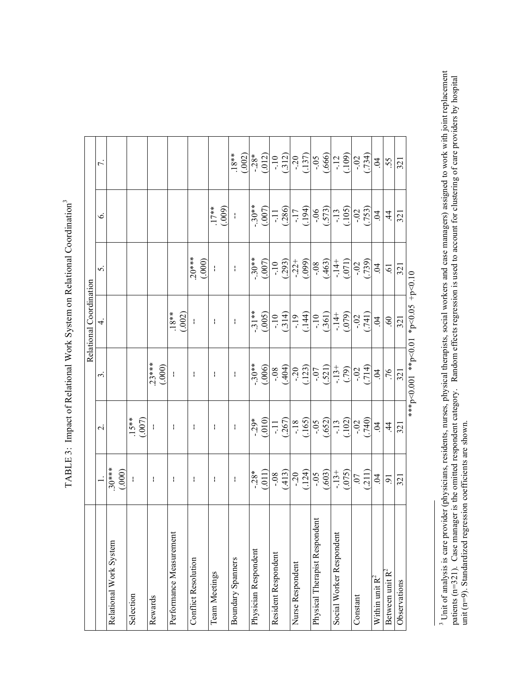|                               |                                            |                                                                                                                                                                                                                                                                                                                                                                                                                      |                                                                                                                                | Relational Coordination                                                                                                                              |                                                               |                   |                                                                                                                                                                                                                                                                                                                                                                                                                    |
|-------------------------------|--------------------------------------------|----------------------------------------------------------------------------------------------------------------------------------------------------------------------------------------------------------------------------------------------------------------------------------------------------------------------------------------------------------------------------------------------------------------------|--------------------------------------------------------------------------------------------------------------------------------|------------------------------------------------------------------------------------------------------------------------------------------------------|---------------------------------------------------------------|-------------------|--------------------------------------------------------------------------------------------------------------------------------------------------------------------------------------------------------------------------------------------------------------------------------------------------------------------------------------------------------------------------------------------------------------------|
|                               |                                            | $\mathbf{\sim}$                                                                                                                                                                                                                                                                                                                                                                                                      | 3                                                                                                                              | 4.                                                                                                                                                   | 5                                                             | $\circ$           | $\overline{ }$                                                                                                                                                                                                                                                                                                                                                                                                     |
| Relational Work System        | $30***$<br>(000)                           |                                                                                                                                                                                                                                                                                                                                                                                                                      |                                                                                                                                |                                                                                                                                                      |                                                               |                   |                                                                                                                                                                                                                                                                                                                                                                                                                    |
| Selection                     | $\overline{\phantom{a}}$                   | $.15**$<br>(.007)                                                                                                                                                                                                                                                                                                                                                                                                    |                                                                                                                                |                                                                                                                                                      |                                                               |                   |                                                                                                                                                                                                                                                                                                                                                                                                                    |
| Rewards                       | $\mathsf I$                                | $\mathcal{A}$                                                                                                                                                                                                                                                                                                                                                                                                        | $23***$<br>(.000)                                                                                                              |                                                                                                                                                      |                                                               |                   |                                                                                                                                                                                                                                                                                                                                                                                                                    |
| Performance Measurement       | $\mathsf I$                                | $\mathsf I$                                                                                                                                                                                                                                                                                                                                                                                                          | ł                                                                                                                              | $.18**$<br>(.002)                                                                                                                                    |                                                               |                   |                                                                                                                                                                                                                                                                                                                                                                                                                    |
| <b>Conflict Resolution</b>    | $\frac{1}{2}$                              | $\bar{1}$                                                                                                                                                                                                                                                                                                                                                                                                            | $\mathcal{A}$                                                                                                                  | ł                                                                                                                                                    | $.20***$<br>(.000)                                            |                   |                                                                                                                                                                                                                                                                                                                                                                                                                    |
| Team Meetings                 | ł                                          | ł                                                                                                                                                                                                                                                                                                                                                                                                                    | ł                                                                                                                              | ł                                                                                                                                                    | $\mathbf{I}$                                                  | $.17**$<br>(.009) |                                                                                                                                                                                                                                                                                                                                                                                                                    |
| Boundary Spanners             | $\mathbf{I}$                               | $\mathbf{I}$                                                                                                                                                                                                                                                                                                                                                                                                         | $\mathbf{I}$                                                                                                                   | ł                                                                                                                                                    | $\mathbf{I}$                                                  | $\mathbf{I}$      | $.18**$                                                                                                                                                                                                                                                                                                                                                                                                            |
| Physician Respondent          | (011)<br>$-0.28*$                          | $-0.29*$                                                                                                                                                                                                                                                                                                                                                                                                             |                                                                                                                                |                                                                                                                                                      |                                                               |                   |                                                                                                                                                                                                                                                                                                                                                                                                                    |
| Resident Respondent           | (413)                                      |                                                                                                                                                                                                                                                                                                                                                                                                                      |                                                                                                                                |                                                                                                                                                      |                                                               |                   |                                                                                                                                                                                                                                                                                                                                                                                                                    |
| Nurse Respondent              | $-20$<br>(.124)                            |                                                                                                                                                                                                                                                                                                                                                                                                                      |                                                                                                                                |                                                                                                                                                      | $-30**$<br>$(007)$<br>$(007)$<br>$(293)$<br>$-22+$<br>$(099)$ |                   |                                                                                                                                                                                                                                                                                                                                                                                                                    |
| Physical Therapist Respondent |                                            |                                                                                                                                                                                                                                                                                                                                                                                                                      |                                                                                                                                |                                                                                                                                                      |                                                               |                   |                                                                                                                                                                                                                                                                                                                                                                                                                    |
| Social Worker Respondent      | $\frac{1}{(.603)}$<br>$\frac{13+}{(.075)}$ | $\begin{array}{c c}\n 0 & 1 \\  -1 & 18 \\  -18 & 0 \\  \hline\n 1 & 0 \\  -18 & 0 \\  \hline\n 1 & 0 \\  -18 & 0 \\  \hline\n 1 & 0 \\  -19 & 0 \\  \hline\n 1 & 0 \\  -19 & 0 \\  \hline\n 1 & 0 \\  -19 & 0 \\  \hline\n 1 & 0 \\  -19 & 0 \\  \hline\n 1 & 0 \\  -19 & 0 \\  \hline\n 1 & 0 \\  -19 & 0 \\  \hline\n 1 & 0 \\  -19 & 0 \\  \hline\n 1 & 0 \\  -19 & 0 \\  \hline\n 1 & 0 \\  -19 & 0 \\  \hline$ | $-30**$<br>$-30*$<br>$-30*$<br>$-120*$<br>$-120*$<br>$-121*$<br>$-120*$<br>$-121*$<br>$-120*$<br>$-120*$<br>$-120*$<br>$-120*$ | $\begin{array}{r} \n 11** \\  1005 \\  -100 \\  -194 \\  -194 \\  -100 \\  -104 \\  -104 \\  -104 \\  -144 \\  -104 \\  -144 \\  -104\n \end{array}$ | $-0.08$<br>$(0.463)$<br>$(14+14)$<br>$(0.71)$<br>$(0.739)$    |                   | $\underbrace{(.012)}_{-2.8} = \underbrace{(.12)}_{-1.2} = \underbrace{(.12)}_{-1.2} = \underbrace{(.012)}_{-1.2} = \underbrace{(.012)}_{-1.2} = \underbrace{(.012)}_{-1.2} = \underbrace{(.012)}_{-1.2} = \underbrace{(.012)}_{-1.2} = \underbrace{(.012)}_{-1.2} = \underbrace{(.012)}_{-1.2} = \underbrace{(.012)}_{-1.2} = \underbrace{(.012)}_{-1.2} = \underbrace{(.012)}_{-1.2} = \underbrace{(.012)}_{-1.2$ |
| Constant                      | (211)                                      |                                                                                                                                                                                                                                                                                                                                                                                                                      |                                                                                                                                | (0.741)                                                                                                                                              |                                                               |                   |                                                                                                                                                                                                                                                                                                                                                                                                                    |
| Within unit R <sup>2</sup>    | $\overline{5}$                             | $\overline{5}$                                                                                                                                                                                                                                                                                                                                                                                                       | $rac{9}{4}$                                                                                                                    | $\ddot{5}$                                                                                                                                           | $\overline{5}$                                                |                   | $\overline{5}$                                                                                                                                                                                                                                                                                                                                                                                                     |
| Between unit R <sup>2</sup>   | $\tilde{e}$                                | $\ddot{4}$                                                                                                                                                                                                                                                                                                                                                                                                           |                                                                                                                                | $60$                                                                                                                                                 | $\ddot{\text{o}}$                                             | $\ddot{4}$        | 55.                                                                                                                                                                                                                                                                                                                                                                                                                |
| Observations                  | 321                                        | 321                                                                                                                                                                                                                                                                                                                                                                                                                  | 321                                                                                                                            | 321                                                                                                                                                  | 321                                                           | 321               | 321                                                                                                                                                                                                                                                                                                                                                                                                                |

TABLE 3: Impact of Relational Work System on Relational Coordination<sup>3</sup> TABLE 3: Impact of Relational Work System on Relational Coordination<sup>3</sup>

01.0>d+ 50.0>d<sub>\*</sub> 10.0>d<sub>\*\*</sub> 100.0>d<sub>\*\*\*</sub> \*\*\*p<0.001 \*\*p<0.01 \*p<0.05 +p<0.10

<sup>&</sup>lt;sup>3</sup> Unit of analysis is care provider (physicians, residents, nurses, physical therapists, social workers and case managers) assigned to work with joint replacement patients (n=321). Case manager is the omitted respondent <sup>3</sup> Unit of analysis is care provider (physicians, residents, nurses, physical therapists, social workers and case managers) assigned to work with joint replacement patients (n=321). Case manager is the omitted respondent category. Random effects regression is used to account for clustering of care providers by hospital unit (n=9). Standardized regression coefficients are shown.